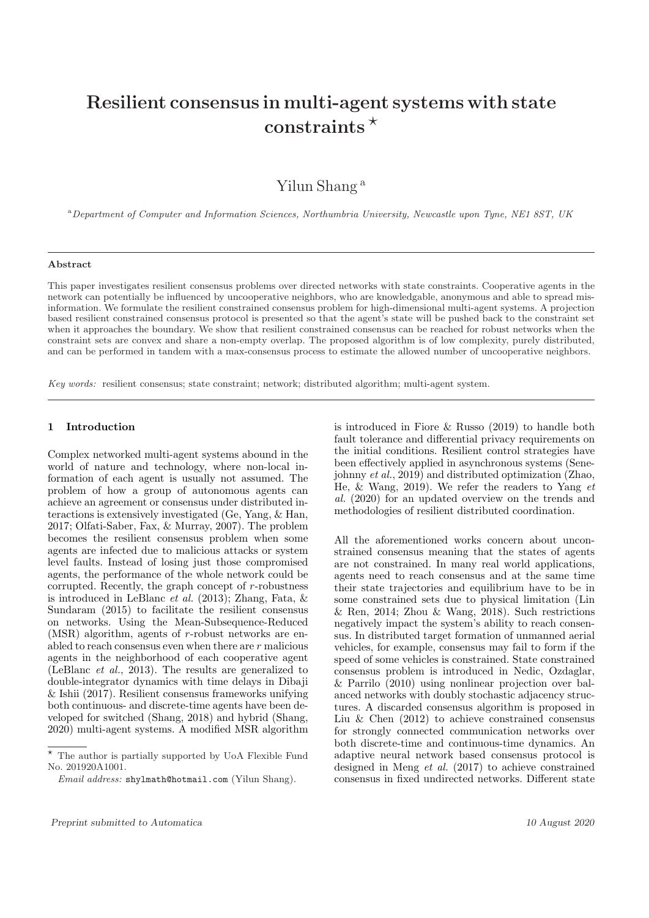# **Resilient consensus in multi-agent systems with state constraints** *?*

Yilun Shang <sup>a</sup>

<sup>a</sup>*Department of Computer and Information Sciences, Northumbria University, Newcastle upon Tyne, NE1 8ST, UK*

## **Abstract**

This paper investigates resilient consensus problems over directed networks with state constraints. Cooperative agents in the network can potentially be influenced by uncooperative neighbors, who are knowledgable, anonymous and able to spread misinformation. We formulate the resilient constrained consensus problem for high-dimensional multi-agent systems. A projection based resilient constrained consensus protocol is presented so that the agent's state will be pushed back to the constraint set when it approaches the boundary. We show that resilient constrained consensus can be reached for robust networks when the constraint sets are convex and share a non-empty overlap. The proposed algorithm is of low complexity, purely distributed, and can be performed in tandem with a max-consensus process to estimate the allowed number of uncooperative neighbors.

*Key words:* resilient consensus; state constraint; network; distributed algorithm; multi-agent system.

## **1 Introduction**

Complex networked multi-agent systems abound in the world of nature and technology, where non-local information of each agent is usually not assumed. The problem of how a group of autonomous agents can achieve an agreement or consensus under distributed interactions is extensively investigated (Ge, Yang, & Han, 2017; Olfati-Saber, Fax, & Murray, 2007). The problem becomes the resilient consensus problem when some agents are infected due to malicious attacks or system level faults. Instead of losing just those compromised agents, the performance of the whole network could be corrupted. Recently, the graph concept of *r*-robustness is introduced in LeBlanc *et al.* (2013); Zhang, Fata, & Sundaram (2015) to facilitate the resilient consensus on networks. Using the Mean-Subsequence-Reduced (MSR) algorithm, agents of *r*-robust networks are enabled to reach consensus even when there are *r* malicious agents in the neighborhood of each cooperative agent (LeBlanc *et al.*, 2013). The results are generalized to double-integrator dynamics with time delays in Dibaji & Ishii (2017). Resilient consensus frameworks unifying both continuous- and discrete-time agents have been developed for switched (Shang, 2018) and hybrid (Shang, 2020) multi-agent systems. A modified MSR algorithm

is introduced in Fiore & Russo (2019) to handle both fault tolerance and differential privacy requirements on the initial conditions. Resilient control strategies have been effectively applied in asynchronous systems (Senejohnny *et al.*, 2019) and distributed optimization (Zhao, He, & Wang, 2019). We refer the readers to Yang *et al.* (2020) for an updated overview on the trends and methodologies of resilient distributed coordination.

All the aforementioned works concern about unconstrained consensus meaning that the states of agents are not constrained. In many real world applications, agents need to reach consensus and at the same time their state trajectories and equilibrium have to be in some constrained sets due to physical limitation (Lin & Ren, 2014; Zhou & Wang, 2018). Such restrictions negatively impact the system's ability to reach consensus. In distributed target formation of unmanned aerial vehicles, for example, consensus may fail to form if the speed of some vehicles is constrained. State constrained consensus problem is introduced in Nedic, Ozdaglar, & Parrilo (2010) using nonlinear projection over balanced networks with doubly stochastic adjacency structures. A discarded consensus algorithm is proposed in Liu & Chen (2012) to achieve constrained consensus for strongly connected communication networks over both discrete-time and continuous-time dynamics. An adaptive neural network based consensus protocol is designed in Meng *et al.* (2017) to achieve constrained consensus in fixed undirected networks. Different state

 $^\star$  The author is partially supported by UoA Flexible Fund No. 201920A1001.

*Email address:* shylmath@hotmail.com (Yilun Shang).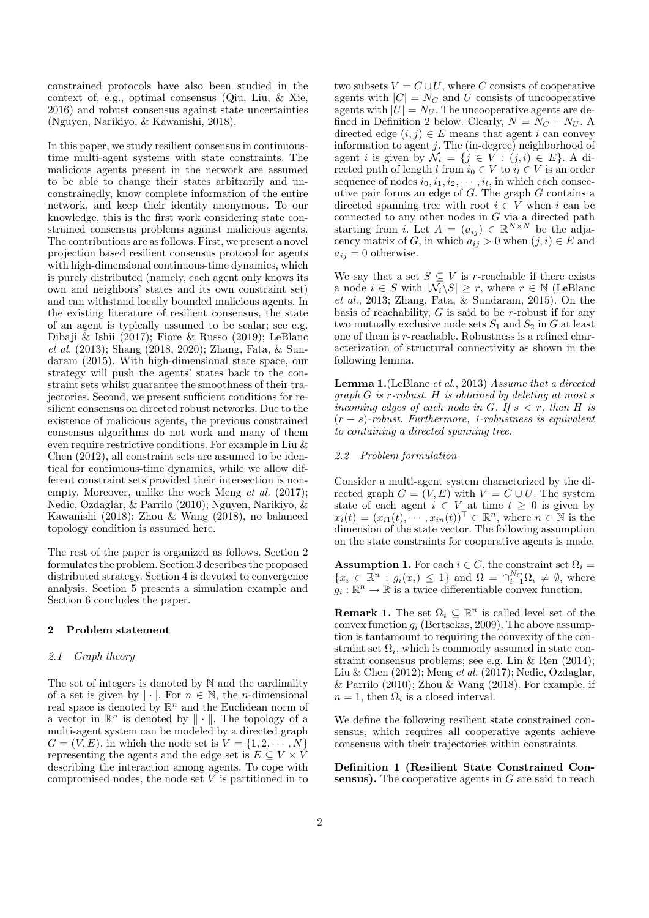constrained protocols have also been studied in the context of, e.g., optimal consensus (Qiu, Liu, & Xie, 2016) and robust consensus against state uncertainties (Nguyen, Narikiyo, & Kawanishi, 2018).

In this paper, we study resilient consensus in continuoustime multi-agent systems with state constraints. The malicious agents present in the network are assumed to be able to change their states arbitrarily and unconstrainedly, know complete information of the entire network, and keep their identity anonymous. To our knowledge, this is the first work considering state constrained consensus problems against malicious agents. The contributions are as follows. First, we present a novel projection based resilient consensus protocol for agents with high-dimensional continuous-time dynamics, which is purely distributed (namely, each agent only knows its own and neighbors' states and its own constraint set) and can withstand locally bounded malicious agents. In the existing literature of resilient consensus, the state of an agent is typically assumed to be scalar; see e.g. Dibaji & Ishii (2017); Fiore & Russo (2019); LeBlanc *et al.* (2013); Shang (2018, 2020); Zhang, Fata, & Sundaram (2015). With high-dimensional state space, our strategy will push the agents' states back to the constraint sets whilst guarantee the smoothness of their trajectories. Second, we present sufficient conditions for resilient consensus on directed robust networks. Due to the existence of malicious agents, the previous constrained consensus algorithms do not work and many of them even require restrictive conditions. For example in Liu & Chen (2012), all constraint sets are assumed to be identical for continuous-time dynamics, while we allow different constraint sets provided their intersection is nonempty. Moreover, unlike the work Meng *et al.* (2017); Nedic, Ozdaglar, & Parrilo (2010); Nguyen, Narikiyo, & Kawanishi (2018); Zhou & Wang (2018), no balanced topology condition is assumed here.

The rest of the paper is organized as follows. Section 2 formulates the problem. Section 3 describes the proposed distributed strategy. Section 4 is devoted to convergence analysis. Section 5 presents a simulation example and Section 6 concludes the paper.

# **2 Problem statement**

#### *2.1 Graph theory*

The set of integers is denoted by N and the cardinality of a set is given by  $|\cdot|$ . For  $n \in \mathbb{N}$ , the *n*-dimensional real space is denoted by  $\mathbb{R}^n$  and the Euclidean norm of a vector in  $\mathbb{R}^n$  is denoted by  $\|\cdot\|$ . The topology of a multi-agent system can be modeled by a directed graph  $G = (V, E)$ , in which the node set is  $V = \{1, 2, \dots, N\}$ representing the agents and the edge set is  $E \subseteq V \times V$ describing the interaction among agents. To cope with compromised nodes, the node set *V* is partitioned in to

two subsets  $V = C \cup U$ , where *C* consists of cooperative agents with  $|C| = N_C$  and *U* consists of uncooperative agents with  $|U| = N_U$ . The uncooperative agents are defined in Definition 2 below. Clearly,  $N = N_C + N_U$ . A directed edge  $(i, j) \in E$  means that agent *i* can convey information to agent *j*. The (in-degree) neighborhood of agent *i* is given by  $\mathcal{N}_i = \{j \in V : (j, i) \in E\}$ . A directed path of length *l* from  $i_0 \in V$  to  $i_i \in V$  is an order sequence of nodes  $i_0, i_1, i_2, \cdots, i_l$ , in which each consecutive pair forms an edge of *G*. The graph *G* contains a directed spanning tree with root  $i \in V$  when  $i$  can be connected to any other nodes in *G* via a directed path starting from *i*. Let  $A = (a_{ij}) \in \mathbb{R}^{N \times N}$  be the adjacency matrix of *G*, in which  $a_{ij} > 0$  when  $(j, i) \in E$  and  $a_{ij} = 0$  otherwise.

We say that a set  $S \subseteq V$  is *r*-reachable if there exists a node  $i \in S$  with  $|\mathcal{N}_i \backslash S| \geq r$ , where  $r \in \mathbb{N}$  (LeBlanc *et al.*, 2013; Zhang, Fata, & Sundaram, 2015). On the basis of reachability, *G* is said to be *r*-robust if for any two mutually exclusive node sets  $S_1$  and  $S_2$  in  $G$  at least one of them is *r*-reachable. Robustness is a refined characterization of structural connectivity as shown in the following lemma.

**Lemma 1.**(LeBlanc *et al.*, 2013) *Assume that a directed graph G is r-robust. H is obtained by deleting at most s incoming edges of each node in G. If*  $s < r$ *, then H is* (*r − s*)*-robust. Furthermore, 1-robustness is equivalent to containing a directed spanning tree.*

# *2.2 Problem formulation*

Consider a multi-agent system characterized by the directed graph  $G = (V, E)$  with  $V = C \cup U$ . The system state of each agent  $i \in V$  at time  $t \geq 0$  is given by  $x_i(t) = (x_{i1}(t), \dots, x_{in}(t))^{\mathsf{T}} \in \mathbb{R}^n$ , where  $n \in \mathbb{N}$  is the dimension of the state vector. The following assumption on the state constraints for cooperative agents is made.

**Assumption 1.** For each  $i \in C$ , the constraint set  $\Omega_i =$  ${x_i \in \mathbb{R}^n : g_i(x_i) \leq 1}$  and  $\Omega = \bigcap_{i=1}^{N_C} \Omega_i \neq \emptyset$ , where  $g_i: \mathbb{R}^n \to \mathbb{R}$  is a twice differentiable convex function.

**Remark 1.** The set  $\Omega_i \subseteq \mathbb{R}^n$  is called level set of the convex function *g<sup>i</sup>* (Bertsekas, 2009). The above assumption is tantamount to requiring the convexity of the constraint set  $\Omega_i$ , which is commonly assumed in state constraint consensus problems; see e.g. Lin & Ren (2014); Liu & Chen (2012); Meng *et al.* (2017); Nedic, Ozdaglar,  $&$  Parrilo (2010); Zhou  $&$  Wang (2018). For example, if  $n = 1$ , then  $\Omega_i$  is a closed interval.

We define the following resilient state constrained consensus, which requires all cooperative agents achieve consensus with their trajectories within constraints.

**Definition 1 (Resilient State Constrained Consensus).** The cooperative agents in *G* are said to reach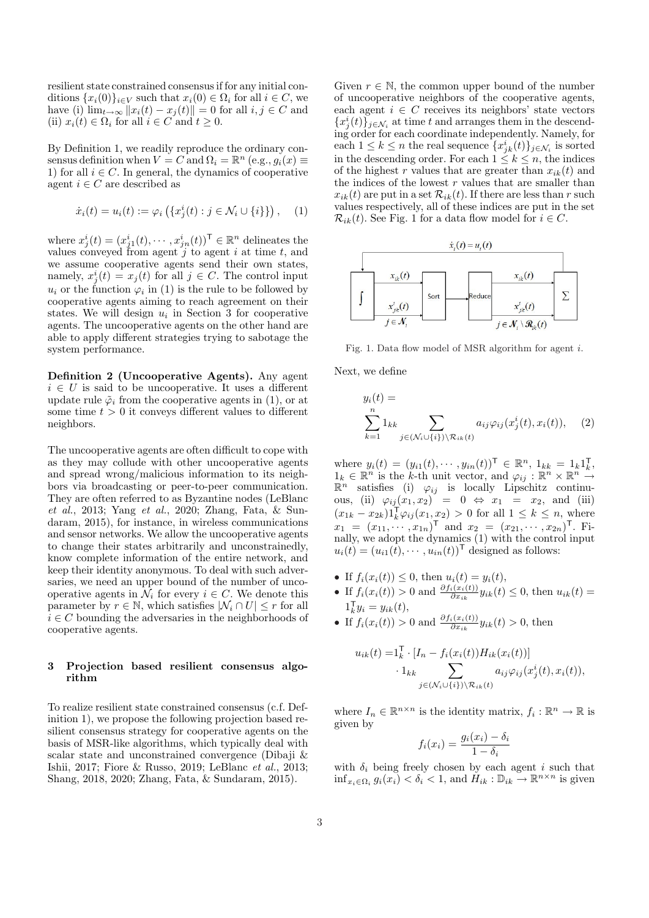resilient state constrained consensus if for any initial conditions  $\{x_i(0)\}_{i \in V}$  such that  $x_i(0) \in \Omega_i$  for all  $i \in C$ , we have (i)  $\lim_{t\to\infty} ||x_i(t) - x_j(t)|| = 0$  for all  $i, j \in C$  and (ii)  $x_i(t) \in \Omega_i$  for all  $i \in C$  and  $t \geq 0$ .

By Definition 1, we readily reproduce the ordinary consensus definition when  $V = C$  and  $\Omega_i = \mathbb{R}^n$  (e.g.,  $g_i(x) \equiv$ 1) for all  $i \in C$ . In general, the dynamics of cooperative agent  $i \in C$  are described as

$$
\dot{x}_i(t) = u_i(t) := \varphi_i \left( \{ x_j^i(t) : j \in \mathcal{N}_i \cup \{ i \} \} \right), \quad (1)
$$

where  $x_j^i(t) = (x_{j1}^i(t), \dots, x_{jn}^i(t))^{\mathsf{T}} \in \mathbb{R}^n$  delineates the values conveyed from agent *j* to agent *i* at time *t*, and we assume cooperative agents send their own states, namely,  $x_j^i(t) = x_j(t)$  for all  $j \in C$ . The control input  $u_i$  or the function  $\varphi_i$  in (1) is the rule to be followed by cooperative agents aiming to reach agreement on their states. We will design  $u_i$  in Section 3 for cooperative agents. The uncooperative agents on the other hand are able to apply different strategies trying to sabotage the system performance.

**Definition 2 (Uncooperative Agents).** Any agent  $i \in U$  is said to be uncooperative. It uses a different update rule  $\tilde{\varphi}_i$  from the cooperative agents in (1), or at some time  $t > 0$  it conveys different values to different neighbors.

The uncooperative agents are often difficult to cope with as they may collude with other uncooperative agents and spread wrong/malicious information to its neighbors via broadcasting or peer-to-peer communication. They are often referred to as Byzantine nodes (LeBlanc *et al.*, 2013; Yang *et al.*, 2020; Zhang, Fata, & Sundaram, 2015), for instance, in wireless communications and sensor networks. We allow the uncooperative agents to change their states arbitrarily and unconstrainedly, know complete information of the entire network, and keep their identity anonymous. To deal with such adversaries, we need an upper bound of the number of uncooperative agents in  $\mathcal{N}_i$  for every  $i \in \mathbb{C}$ . We denote this parameter by  $r \in \mathbb{N}$ , which satisfies  $|\mathcal{N}_i \cap U| \leq r$  for all  $i \in C$  bounding the adversaries in the neighborhoods of cooperative agents.

# **3 Projection based resilient consensus algorithm**

To realize resilient state constrained consensus (c.f. Definition 1), we propose the following projection based resilient consensus strategy for cooperative agents on the basis of MSR-like algorithms, which typically deal with scalar state and unconstrained convergence (Dibaji & Ishii, 2017; Fiore & Russo, 2019; LeBlanc *et al.*, 2013; Shang, 2018, 2020; Zhang, Fata, & Sundaram, 2015).

Given  $r \in \mathbb{N}$ , the common upper bound of the number of uncooperative neighbors of the cooperative agents, each agent  $i \in C$  receives its neighbors' state vectors  ${x_j^i(t)}$ , *j*<sub> $j \in N_i$ </sub> at time *t* and arranges them in the descending order for each coordinate independently. Namely, for each  $1 \leq k \leq n$  the real sequence  $\{x_{jk}^i(t)\}_{j \in \mathcal{N}_i}$  is sorted in the descending order. For each  $1 \leq k \leq n$ , the indices of the highest *r* values that are greater than  $x_{ik}(t)$  and the indices of the lowest *r* values that are smaller than  $x_{ik}(t)$  are put in a set  $\mathcal{R}_{ik}(t)$ . If there are less than *r* such values respectively, all of these indices are put in the set  $\mathcal{R}_{ik}(t)$ . See Fig. 1 for a data flow model for  $i \in C$ .



Fig. 1. Data flow model of MSR algorithm for agent *i*.

Next, we define

$$
y_i(t) = \sum_{k=1}^n 1_{kk} \sum_{j \in (\mathcal{N}_i \cup \{i\}) \backslash \mathcal{R}_{ik}(t)} a_{ij} \varphi_{ij}(x_j^i(t), x_i(t)), \quad (2)
$$

where  $y_i(t) = (y_{i1}(t), \dots, y_{in}(t))^{\mathsf{T}} \in \mathbb{R}^n, 1_{kk} = 1_k 1_k^{\mathsf{T}}$ ,  $1_k \in \mathbb{R}^n$  is the *k*-th unit vector, and  $\varphi_{ij} : \mathbb{R}^n \times \mathbb{R}^n \to$  $\mathbb{R}^n$  satisfies (i)  $\varphi_{ij}$  is locally Lipschitz continuous, (ii)  $\varphi_{ij}(x_1, x_2) = 0 \Leftrightarrow x_1 = x_2$ , and (iii)  $(x_{1k} - x_{2k})1_k^T \varphi_{ij}(x_1, x_2) > 0$  for all  $1 ≤ k ≤ n$ , where  $x_1 = (x_{11}, \dots, x_{1n})^{\mathsf{T}}$  and  $x_2 = (x_{21}, \dots, x_{2n})^{\mathsf{T}}$ . Finally, we adopt the dynamics (1) with the control input  $u_i(t) = (u_{i1}(t), \dots, u_{in}(t))^T$  designed as follows:

- If  $f_i(x_i(t)) \leq 0$ , then  $u_i(t) = y_i(t)$ ,
- *•* If  $f_i(x_i(t)) > 0$  and  $\frac{\partial f_i(x_i(t))}{\partial x_{ik}} y_{ik}(t) ≤ 0$ , then  $u_{ik}(t) =$  $1_k^{\mathsf{T}} y_i = y_{ik}(t),$
- *•* If  $f_i(x_i(t)) > 0$  and  $\frac{\partial f_i(x_i(t))}{\partial x_{ik}} y_{ik}(t) > 0$ , then

$$
u_{ik}(t) = I_k^{\mathsf{T}} \cdot [I_n - f_i(x_i(t))H_{ik}(x_i(t))]
$$

$$
\cdot 1_{kk} \sum_{j \in (\mathcal{N}_i \cup \{i\}) \setminus \mathcal{R}_{ik}(t)} a_{ij} \varphi_{ij}(x_j^i(t), x_i(t)),
$$

where  $I_n \in \mathbb{R}^{n \times n}$  is the identity matrix,  $f_i : \mathbb{R}^n \to \mathbb{R}$  is given by

$$
f_i(x_i) = \frac{g_i(x_i) - \delta_i}{1 - \delta_i}
$$

with  $\delta_i$  being freely chosen by each agent *i* such that  $\inf_{x_i \in \Omega_i} g_i(x_i) < \delta_i < 1$ , and  $H_{ik}: \mathbb{D}_{ik} \to \mathbb{R}^{n \times n}$  is given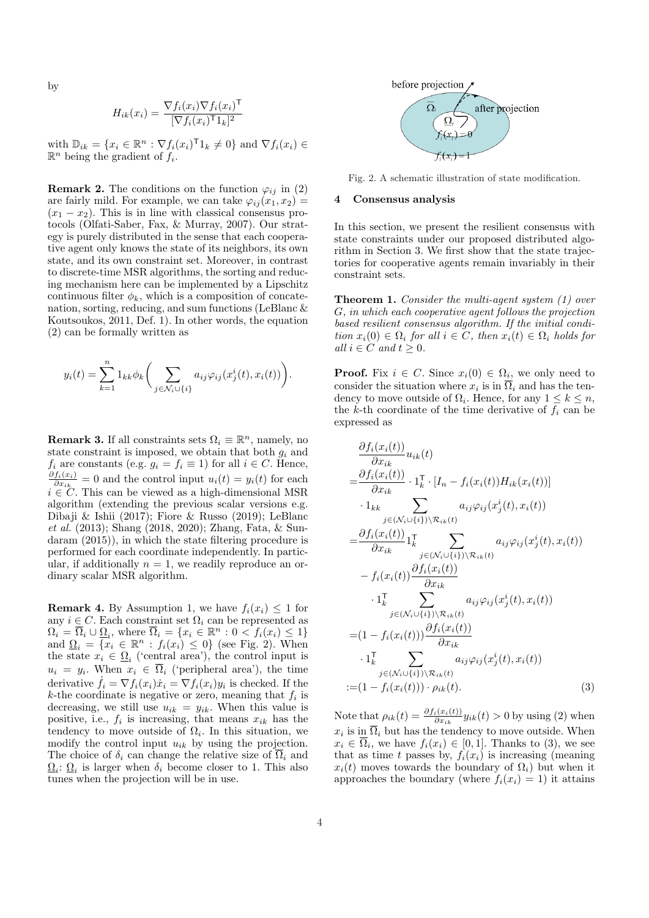by

$$
H_{ik}(x_i) = \frac{\nabla f_i(x_i) \nabla f_i(x_i)^\mathsf{T}}{[\nabla f_i(x_i)^\mathsf{T} 1_k]^2}
$$

with  $\mathbb{D}_{ik} = \{x_i \in \mathbb{R}^n : \nabla f_i(x_i)^\mathsf{T} 1_k \neq 0\}$  and  $\nabla f_i(x_i) \in$  $\mathbb{R}^n$  being the gradient of  $f_i$ .

**Remark 2.** The conditions on the function  $\varphi_{ij}$  in (2) are fairly mild. For example, we can take  $\varphi_{ij}(x_1, x_2) =$  $(x_1 - x_2)$ . This is in line with classical consensus protocols (Olfati-Saber, Fax, & Murray, 2007). Our strategy is purely distributed in the sense that each cooperative agent only knows the state of its neighbors, its own state, and its own constraint set. Moreover, in contrast to discrete-time MSR algorithms, the sorting and reducing mechanism here can be implemented by a Lipschitz continuous filter  $\phi_k$ , which is a composition of concatenation, sorting, reducing, and sum functions (LeBlanc & Koutsoukos, 2011, Def. 1). In other words, the equation (2) can be formally written as

$$
y_i(t) = \sum_{k=1}^n 1_{kk} \phi_k \bigg(\sum_{j \in \mathcal{N}_i \cup \{i\}} a_{ij} \varphi_{ij}(x_j^i(t), x_i(t))\bigg).
$$

**Remark 3.** If all constraints sets  $\Omega_i \equiv \mathbb{R}^n$ , namely, no state constraint is imposed, we obtain that both *g<sup>i</sup>* and  $f_i$  are constants (e.g.  $g_i = f_i \equiv 1$ ) for all  $i \in C$ . Hence, *∂fi*(*xi*)  $\frac{f_i(x_i)}{\partial x_{ik}} = 0$  and the control input  $u_i(t) = y_i(t)$  for each *i ∈ C*. This can be viewed as a high-dimensional MSR algorithm (extending the previous scalar versions e.g. Dibaji & Ishii (2017); Fiore & Russo (2019); LeBlanc *et al.* (2013); Shang (2018, 2020); Zhang, Fata, & Sundaram (2015)), in which the state filtering procedure is performed for each coordinate independently. In particular, if additionally  $n = 1$ , we readily reproduce an ordinary scalar MSR algorithm.

**Remark 4.** By Assumption 1, we have  $f_i(x_i) \leq 1$  for any  $i \in C$ . Each constraint set  $\Omega_i$  can be represented as  $\Omega_i = \overline{\Omega}_i \cup \underline{\Omega}_i$ , where  $\overline{\Omega}_i = \{x_i \in \mathbb{R}^n : 0 < f_i(x_i) \leq 1\}$ and  $\Omega_i = \{x_i \in \mathbb{R}^n : f_i(x_i) \leq 0\}$  (see Fig. 2). When the state  $x_i \in \underline{\Omega}_i$  ('central area'), the control input is  $u_i = y_i$ . When  $x_i \in \Omega_i$  ('peripheral area'), the time derivative  $\dot{f}_i = \nabla f_i(x_i)\dot{x}_i = \nabla f_i(x_i)y_i$  is checked. If the *k*-the coordinate is negative or zero, meaning that *f<sup>i</sup>* is decreasing, we still use  $u_{ik} = y_{ik}$ . When this value is positive, i.e.,  $f_i$  is increasing, that means  $x_{ik}$  has the tendency to move outside of  $\Omega_i$ . In this situation, we modify the control input *uik* by using the projection. The choice of  $\delta_i$  can change the relative size of  $\overline{\Omega}_i$  and  $\underline{\Omega}_i$ :  $\underline{\Omega}_i$  is larger when  $\delta_i$  become closer to 1. This also tunes when the projection will be in use.



Fig. 2. A schematic illustration of state modification.

## **4 Consensus analysis**

In this section, we present the resilient consensus with state constraints under our proposed distributed algorithm in Section 3. We first show that the state trajectories for cooperative agents remain invariably in their constraint sets.

**Theorem 1.** *Consider the multi-agent system (1) over G, in which each cooperative agent follows the projection based resilient consensus algorithm. If the initial condi* $t$ *ion*  $x_i(0) \in \Omega_i$  *for all*  $i \in C$ *, then*  $x_i(t) \in \Omega_i$  *holds for*  $all \ i \in C \ and \ t \geq 0.$ 

**Proof.** Fix  $i \in C$ . Since  $x_i(0) \in \Omega_i$ , we only need to consider the situation where  $x_i$  is in  $\Omega_i$  and has the tendency to move outside of  $\Omega_i$ . Hence, for any  $1 \leq k \leq n$ , the *k*-th coordinate of the time derivative of  $f_i$  can be expressed as

$$
\frac{\partial f_i(x_i(t))}{\partial x_{ik}} u_{ik}(t)
$$
\n
$$
= \frac{\partial f_i(x_i(t))}{\partial x_{ik}} \cdot 1_k^\top \cdot [I_n - f_i(x_i(t)) H_{ik}(x_i(t))]
$$
\n
$$
\cdot 1_{kk} \sum_{j \in (\mathcal{N}_i \cup \{i\}) \setminus \mathcal{R}_{ik}(t)} a_{ij} \varphi_{ij}(x_j^i(t), x_i(t))
$$
\n
$$
= \frac{\partial f_i(x_i(t))}{\partial x_{ik}} 1_k^\top \sum_{j \in (\mathcal{N}_i \cup \{i\}) \setminus \mathcal{R}_{ik}(t)} a_{ij} \varphi_{ij}(x_j^i(t), x_i(t))
$$
\n
$$
- f_i(x_i(t)) \frac{\partial f_i(x_i(t))}{\partial x_{ik}}
$$
\n
$$
\cdot 1_k^\top \sum_{j \in (\mathcal{N}_i \cup \{i\}) \setminus \mathcal{R}_{ik}(t)} a_{ij} \varphi_{ij}(x_j^i(t), x_i(t))
$$
\n
$$
= (1 - f_i(x_i(t))) \frac{\partial f_i(x_i(t))}{\partial x_{ik}}
$$
\n
$$
\cdot 1_k^\top \sum_{j \in (\mathcal{N}_i \cup \{i\}) \setminus \mathcal{R}_{ik}(t)} a_{ij} \varphi_{ij}(x_j^i(t), x_i(t))
$$
\n
$$
:= (1 - f_i(x_i(t))) \cdot \rho_{ik}(t).
$$
\n(3)

Note that  $\rho_{ik}(t) = \frac{\partial f_i(x_i(t))}{\partial x_{ik}} y_{ik}(t) > 0$  by using (2) when  $x_i$  is in  $\Omega_i$  but has the tendency to move outside. When  $x_i \in \Omega_i$ , we have  $f_i(x_i) \in [0,1]$ . Thanks to (3), we see that as time *t* passes by,  $f_i(x_i)$  is increasing (meaning  $x_i(t)$  moves towards the boundary of  $\Omega_i$ ) but when it approaches the boundary (where  $f_i(x_i) = 1$ ) it attains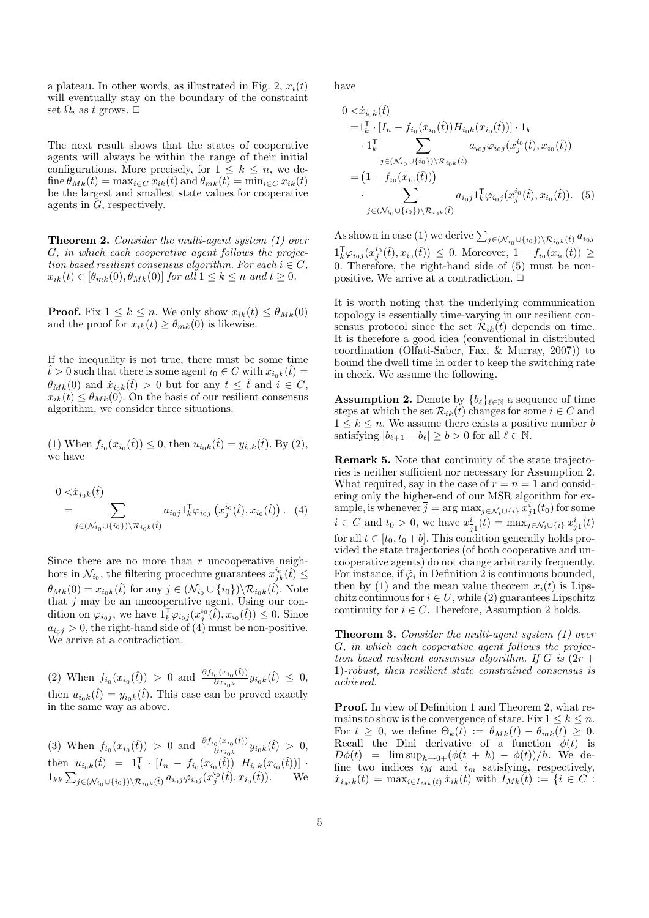a plateau. In other words, as illustrated in Fig. 2,  $x_i(t)$ will eventually stay on the boundary of the constraint set  $\Omega_i$  as *t* grows.  $\Box$ 

The next result shows that the states of cooperative agents will always be within the range of their initial configurations. More precisely, for  $1 \leq k \leq n$ , we define  $\theta_{Mk}(t) = \max_{i \in C} x_{ik}(t)$  and  $\theta_{mk}(t) = \min_{i \in C} x_{ik}(t)$ be the largest and smallest state values for cooperative agents in *G*, respectively.

**Theorem 2.** *Consider the multi-agent system (1) over G, in which each cooperative agent follows the projection based resilient consensus algorithm. For each*  $i \in C$ ,  $x_{ik}(t) \in [\theta_{mk}(0), \theta_{Mk}(0)]$  *for all*  $1 \leq k \leq n$  *and*  $t \geq 0$ *.* 

**Proof.** Fix  $1 \leq k \leq n$ . We only show  $x_{ik}(t) \leq \theta_{Mk}(0)$ and the proof for  $x_{ik}(t) \geq \theta_{mk}(0)$  is likewise.

If the inequality is not true, there must be some time  $\hat{t} > 0$  such that there is some agent  $i_0 \in C$  with  $x_{i_0 k}(\hat{t}) =$  $\theta_{Mk}(0)$  and  $\dot{x}_{i_0k}(\hat{t}) > 0$  but for any  $t \leq \hat{t}$  and  $i \in C$ ,  $x_{ik}(t) \leq \theta_{Mk}(0)$ . On the basis of our resilient consensus algorithm, we consider three situations.

 $(1)$  When  $f_{i_0}(x_{i_0}(\hat{t})) \leq 0$ , then  $u_{i_0k}(\hat{t}) = y_{i_0k}(\hat{t})$ . By  $(2)$ , we have

$$
0 < \dot{x}_{i_0k}(\hat{t}) \\
= \sum_{j \in (\mathcal{N}_{i_0} \cup \{i_0\}) \setminus \mathcal{R}_{i_0k}(\hat{t})} a_{i_0j} \mathbf{1}_k^{\mathsf{T}} \varphi_{i_0j} \left( x_j^{i_0}(\hat{t}), x_{i_0}(\hat{t}) \right). \tag{4}
$$

Since there are no more than *r* uncooperative neighbors in  $\mathcal{N}_{i_0}$ , the filtering procedure guarantees  $x_{jk}^{i_0}(\hat{t}) \leq$  $\theta_{Mk}(0) = x_{i_0k}(\hat{t})$  for any  $j \in (\mathcal{N}_{i_0} \cup \{i_0\}) \setminus \mathcal{R}_{i_0k}(\hat{t})$ . Note that *j* may be an uncooperative agent. Using our condition on  $\varphi_{i_0j}$ , we have  $1_k^{\mathsf{T}}\varphi_{i_0j}(x_j^{i_0}(\hat{t}), x_{i_0}(\hat{t})) \leq 0$ . Since  $a_{i_0j} > 0$ , the right-hand side of  $\overline{4}$  must be non-positive. We arrive at a contradiction.

(2) When  $f_{i_0}(x_{i_0}(\hat{t})) > 0$  and  $\frac{\partial f_{i_0}(x_{i_0}(\hat{t}))}{\partial x_{i_0}(\hat{t})}$  $\frac{\partial^{(x_i 0)}(t)}{\partial x_{i_0 k}} y_{i_0 k}(\hat{t}) \leq 0,$ then  $u_{i_0k}(\hat{t}) = y_{i_0k}(\hat{t})$ . This case can be proved exactly in the same way as above.

(3) When  $f_{i_0}(x_{i_0}(\hat{t})) > 0$  and  $\frac{\partial f_{i_0}(x_{i_0}(\hat{t}))}{\partial x_{i_0}(\hat{t})}$  $\frac{\partial^{(x_i 0)}(t)}{\partial x_{i_0 k}} y_{i_0 k}(\hat{t}) > 0,$ then  $u_{i_0k}(\hat{t}) = 1_k^{\mathsf{T}} \cdot [I_n - f_{i_0}(x_{i_0}(\hat{t})) H_{i_0k}(x_{i_0}(\hat{t}))]$  $1_{kk} \sum_{j \in (\mathcal{N}_{i_0} \cup \{i_0\}) \setminus \mathcal{R}_{i_0 k}(\hat{t})} a_{i_0 j} \varphi_{i_0 j}(x_j^{i_0}(\hat{t}), x_{i_0}(\hat{t})).$  We have

$$
0 < \dot{x}_{i_0k}(\hat{t})
$$
\n
$$
=1_k^\top \cdot [I_n - f_{i_0}(x_{i_0}(\hat{t})) H_{i_0k}(x_{i_0}(\hat{t}))] \cdot 1_k
$$
\n
$$
\cdot 1_k^\top \sum_{j \in (\mathcal{N}_{i_0} \cup \{i_0\}) \setminus \mathcal{R}_{i_0k}(\hat{t})} a_{i_0j} \varphi_{i_0j}(x_j^{i_0}(\hat{t}), x_{i_0}(\hat{t}))
$$
\n
$$
= \left(1 - f_{i_0}(x_{i_0}(\hat{t}))\right)
$$
\n
$$
\cdot \sum_{j \in (\mathcal{N}_{i_0} \cup \{i_0\}) \setminus \mathcal{R}_{i_0k}(\hat{t})} a_{i_0j} 1_k^\top \varphi_{i_0j}(x_j^{i_0}(\hat{t}), x_{i_0}(\hat{t})). \quad (5)
$$

As shown in case (1) we derive  $\sum_{j \in (\mathcal{N}_{i_0} \cup \{i_0\}) \setminus \mathcal{R}_{i_0 k}(\hat{t})} a_{i_0 j}$  $1_k^{\mathsf{T}} \varphi_{i_0j}(x_j^{i_0}(\hat{t}), x_{i_0}(\hat{t})) \leq 0$ . Moreover,  $1 - f_{i_0}(x_{i_0}(\hat{t})) \geq 0$ 0. Therefore, the right-hand side of (5) must be nonpositive. We arrive at a contradiction.  $\Box$ 

It is worth noting that the underlying communication topology is essentially time-varying in our resilient consensus protocol since the set  $\mathcal{R}_{ik}(t)$  depends on time. It is therefore a good idea (conventional in distributed coordination (Olfati-Saber, Fax, & Murray, 2007)) to bound the dwell time in order to keep the switching rate in check. We assume the following.

**Assumption 2.** Denote by  ${b_{\ell}}_{\ell \in \mathbb{N}}$  a sequence of time steps at which the set  $\mathcal{R}_{ik}(t)$  changes for some  $i \in C$  and  $1 \leq k \leq n$ . We assume there exists a positive number *b* satisfying  $|b_{\ell+1} - b_{\ell}| \ge b > 0$  for all  $\ell \in \mathbb{N}$ .

**Remark 5.** Note that continuity of the state trajectories is neither sufficient nor necessary for Assumption 2. What required, say in the case of  $r = n = 1$  and considering only the higher-end of our MSR algorithm for example, is whenever  $\overline{j} = \arg \max_{j \in \mathcal{N}_i \cup \{i\}} x_{j1}^i(t_0)$  for some  $i \in C$  and  $t_0 > 0$ , we have  $x_i^i$  $\frac{i}{j_1}(t) = \max_{j \in \mathcal{N}_i \cup \{i\}} x_{j1}^i(t)$ for all  $t \in [t_0, t_0 + b]$ . This condition generally holds provided the state trajectories (of both cooperative and uncooperative agents) do not change arbitrarily frequently. For instance, if  $\tilde{\varphi}_i$  in Definition 2 is continuous bounded, then by (1) and the mean value theorem  $x_i(t)$  is Lipschitz continuous for  $i \in U$ , while (2) guarantees Lipschitz continuity for  $i \in C$ . Therefore, Assumption 2 holds.

**Theorem 3.** *Consider the multi-agent system (1) over G, in which each cooperative agent follows the projection based resilient consensus algorithm. If*  $G$  *is*  $(2r +$ 1)*-robust, then resilient state constrained consensus is achieved.*

**Proof.** In view of Definition 1 and Theorem 2, what remains to show is the convergence of state. Fix  $1 \leq k \leq n$ . For  $t \geq 0$ , we define  $\Theta_k(t) := \theta_{Mk}(t) - \theta_{mk}(t) \geq 0$ . Recall the Dini derivative of a function  $\phi(t)$  is  $D\phi(t) = \limsup_{h \to 0+} (\phi(t+h) - \phi(t))/h$ . We define two indices  $i_M$  and  $i_m$  satisfying, respectively,  $\dot{x}_{i_Mk}(t) = \max_{i \in I_{Mk}(t)} \dot{x}_{ik}(t)$  with  $I_{Mk}(t) := \{i \in C :$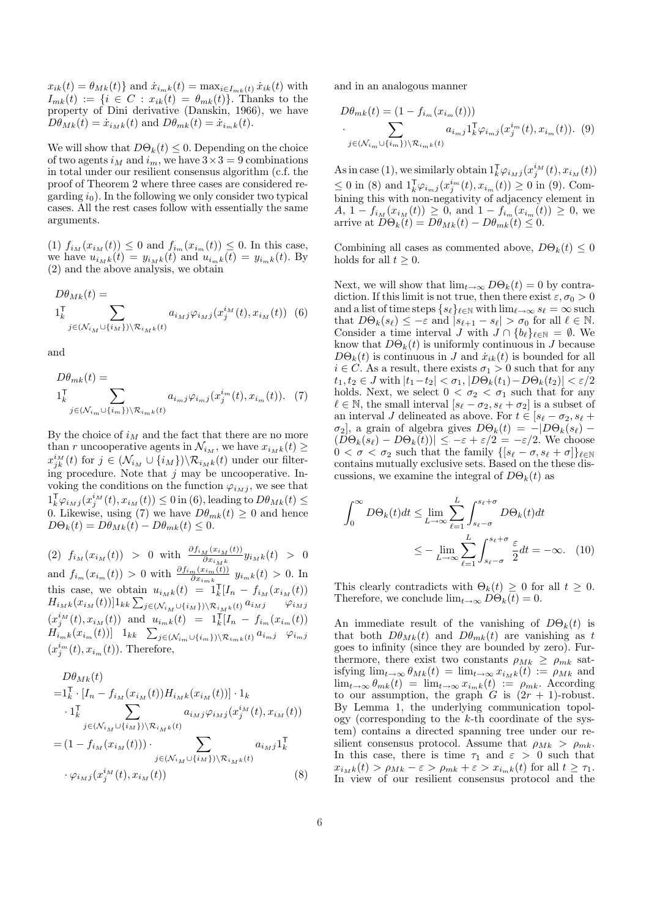$x_{ik}(t) = \theta_{Mk}(t)$  and  $\dot{x}_{i_m k}(t) = \max_{i \in I_{mk}(t)} \dot{x}_{ik}(t)$  with  $I_{mk}(t) := \{i \in C : x_{ik}(t) = \theta_{mk}(t)\}.$  Thanks to the property of Dini derivative (Danskin, 1966), we have  $D\theta_{Mk}(t) = \dot{x}_{i_Mk}(t)$  and  $D\theta_{mk}(t) = \dot{x}_{i_mk}(t)$ .

We will show that  $D\Theta_k(t) \leq 0$ . Depending on the choice of two agents  $i_M$  and  $i_m$ , we have  $3 \times 3 = 9$  combinations in total under our resilient consensus algorithm (c.f. the proof of Theorem 2 where three cases are considered regarding  $i_0$ ). In the following we only consider two typical cases. All the rest cases follow with essentially the same arguments.

 $(1)$   $f_{i_M}(x_{i_M}(t)) \leq 0$  and  $f_{i_m}(x_{i_m}(t)) \leq 0$ . In this case, we have  $u_{i_{M}k}(t) = y_{i_{M}k}(t)$  and  $u_{i_{m}k}(t) = y_{i_{m}k}(t)$ . By (2) and the above analysis, we obtain

$$
D\theta_{MK}(t) = \sum_{\substack{\mathbf{1}_k^{\mathsf{T}} \\ j \in (\mathcal{N}_{i_M} \cup \{i_M\}) \setminus \mathcal{R}_{i_M k}(t)}} a_{i_M j} \varphi_{i_M j}(x_j^{i_M}(t), x_{i_M}(t))
$$
(6)

and

$$
D\theta_{mk}(t) = \sum_{j \in (\mathcal{N}_{i_m} \cup \{i_m\}) \backslash \mathcal{R}_{i_m k}(t)} a_{i_m j} \varphi_{i_m j}(x_j^{i_m}(t), x_{i_m}(t)). \tag{7}
$$

By the choice of  $i_M$  and the fact that there are no more than *r* uncooperative agents in  $\mathcal{N}_{i_M}$ , we have  $x_{i_M k}(t) \geq$  $x_{jk}^{i_M}(t)$  for  $j \in (\mathcal{N}_{i_M} \cup \{i_M\}) \backslash \mathcal{R}_{i_M k}(t)$  under our filtering procedure. Note that *j* may be uncooperative. Invoking the conditions on the function  $\varphi_{i_M j}$ , we see that  $1_k^{\mathsf{T}} \varphi_{i_Mj}(x_j^{i_M}(t), x_{i_M}(t)) \leq 0$  in (6), leading to  $D\theta_{Mk}(t) \leq$ 0. Likewise, using (7) we have  $D\theta_{mk}(t) \geq 0$  and hence  $D\Theta_k(t) = D\theta_{Mk}(t) - D\theta_{mk}(t) \leq 0.$ 

 $(2)$   $f_{i_M}(x_{i_M}(t)) > 0$  with  $\frac{\partial f_{i_M}(x_{i_M}(t))}{\partial x_{i_Mk}} y_{i_Mk}(t) > 0$ and  $f_{i_m}(x_{i_m}(t)) > 0$  with  $\frac{\partial f_{i_m}(x_{i_m}(t))}{\partial x_{i_m k}} y_{i_m k}(t) > 0$ . In this case, we obtain  $u_{i_M k}(t) = 1_k^T [I_n - f_{i_M}(x_{i_M}(t))]$  $H_{i_{M}k}(x_{i_{M}}(t))]1_{kk}\sum\nolimits_{j\in ( {\cal N}_{i_{M}}\cup \{i_{M}\})\setminus {\cal R}_{i_{M}k}(t)} a_{i_{M}j} \qquad \varphi_{i_{M}j}$  $(x_j^{i_M}(t), x_{i_M}(t))$  and  $u_{i_m k}(t) = 1_k^{\text{T}}[I_n - f_{i_m}(x_{i_m}(t))]$  $H_{i_{m}k}^{'}(x_{i_{m}}(t))]$  1<sub>kk</sub>  $\sum_{j\in(\mathcal{N}_{i_{m}}\cup\{i_{m}\})\setminus\mathcal{R}_{i_{m}k}(t)} a_{i_{m}j}$   $\varphi_{i_{m}j}$  $(x_j^{i_m}(t), x_{i_m}(t))$ . Therefore,

$$
D\theta_{Mk}(t) = \mathbf{1}_{k}^{\mathsf{T}} \cdot [I_{n} - f_{i_{M}}(x_{i_{M}}(t))H_{i_{M}k}(x_{i_{M}}(t))] \cdot \mathbf{1}_{k} \n\cdot \mathbf{1}_{k}^{\mathsf{T}} \sum_{j \in (\mathcal{N}_{i_{M}} \cup \{i_{M}\}) \setminus \mathcal{R}_{i_{M}k}(t)} a_{i_{M}j} \varphi_{i_{M}j}(x_{j}^{i_{M}}(t), x_{i_{M}}(t)) \n= (1 - f_{i_{M}}(x_{i_{M}}(t))) \cdot \sum_{j \in (\mathcal{N}_{i_{M}} \cup \{i_{M}\}) \setminus \mathcal{R}_{i_{M}k}(t)} a_{i_{M}j} \mathbf{1}_{k}^{\mathsf{T}} \n\cdot \varphi_{i_{M}j}(x_{j}^{i_{M}}(t), x_{i_{M}}(t))
$$
\n(8)

and in an analogous manner

$$
D\theta_{mk}(t) = (1 - f_{i_m}(x_{i_m}(t)))
$$
  

$$
\sum_{j \in (\mathcal{N}_{i_m} \cup \{i_m\}) \backslash \mathcal{R}_{i_m}k(t)} a_{i_m j} \mathbf{1}_k^{\mathsf{T}} \varphi_{i_m j}(x_j^{i_m}(t), x_{i_m}(t)). \tag{9}
$$

As in case (1), we similarly obtain  $1_k^T \varphi_{i_Mj}(x_j^{i_M}(t), x_{i_M}(t))$  $\leq$  0 in (8) and  $1_k^T \varphi_{i_m j}(x_j^{i_m}(t), x_{i_m}(t)) \geq 0$  in (9). Combining this with non-negativity of adjacency element in *A*, 1 −  $f_{i_M}(x_{i_M}(t)) \geq 0$ , and  $1 - f_{i_m}(x_{i_m}(t)) \geq 0$ , we arrive at  $D\Theta_k(t) = D\theta_{Mk}(t) - D\theta_{mk}(t) \leq 0$ .

Combining all cases as commented above,  $D\Theta_k(t) \leq 0$ holds for all  $t \geq 0$ .

Next, we will show that  $\lim_{t\to\infty} D\Theta_k(t) = 0$  by contradiction. If this limit is not true, then there exist  $\varepsilon, \sigma_0 > 0$ and a list of time steps  $\{s_\ell\}_{\ell \in \mathbb{N}}$  with  $\lim_{\ell \to \infty} s_\ell = \infty$  such that  $D\Theta_k(s_\ell) \leq -\varepsilon$  and  $|s_{\ell+1} - s_\ell| > \sigma_0$  for all  $\ell \in \mathbb{N}$ . Consider a time interval *J* with  $J \cap \{b_\ell\}_{\ell \in \mathbb{N}} = \emptyset$ . We know that  $D\Theta_k(t)$  is uniformly continuous in *J* because  $D\Theta_k(t)$  is continuous in *J* and  $\dot{x}_{ik}(t)$  is bounded for all  $i \in C$ . As a result, there exists  $\sigma_1 > 0$  such that for any  $t_1, t_2 \in J$  with  $|t_1 - t_2| < \sigma_1$ ,  $|D\Theta_k(t_1) - D\Theta_k(t_2)| < \varepsilon/2$ holds. Next, we select  $0 < \sigma_2 < \sigma_1$  such that for any  $\ell \in \mathbb{N}$ , the small interval  $[s_{\ell} - \sigma_2, s_{\ell} + \sigma_2]$  is a subset of an interval *J* delineated as above. For  $t \in [s_\ell - \sigma_2, s_\ell + \sigma_1]$  $\sigma_2$ , a grain of algebra gives  $D\Theta_k(t) = -|D\Theta_k(s_\ell) (D\Theta_k(s_\ell) - D\Theta_k(t)) \leq -\varepsilon + \varepsilon/2 = -\varepsilon/2$ . We choose  $0 < \sigma < \sigma_2$  such that the family  $\{ [s_\ell - \sigma, s_\ell + \sigma] \}_{\ell \in \mathbb{N}}$ contains mutually exclusive sets. Based on the these discussions, we examine the integral of  $D\Theta_k(t)$  as

$$
\int_0^\infty D\Theta_k(t)dt \le \lim_{L\to\infty} \sum_{\ell=1}^L \int_{s_\ell-\sigma}^{s_\ell+\sigma} D\Theta_k(t)dt
$$

$$
\le -\lim_{L\to\infty} \sum_{\ell=1}^L \int_{s_\ell-\sigma}^{s_\ell+\sigma} \frac{\varepsilon}{2} dt = -\infty. \quad (10)
$$

This clearly contradicts with  $\Theta_k(t) \geq 0$  for all  $t \geq 0$ . Therefore, we conclude  $\lim_{t\to\infty} D\Theta_k(t) = 0$ .

An immediate result of the vanishing of  $D\Theta_k(t)$  is that both  $D\theta_{Mk}(t)$  and  $D\theta_{mk}(t)$  are vanishing as t goes to infinity (since they are bounded by zero). Furthermore, there exist two constants  $\rho_{Mk} \ge \rho_{mk}$  satisfying  $\lim_{t\to\infty} \theta_{Mk}(t) = \lim_{t\to\infty} x_{i_M k}(t) := \rho_{Mk}$  and lim<sub>*t*→∞</sub>  $\theta_{mk}(t) = \lim_{t \to \infty} x_{i_m k}(t) := \rho_{mk}$ . According to our assumption, the graph  $G$  is  $(2r + 1)$ -robust. By Lemma 1, the underlying communication topology (corresponding to the *k*-th coordinate of the system) contains a directed spanning tree under our resilient consensus protocol. Assume that  $\rho_{Mk} > \rho_{mk}$ . In this case, there is time  $\tau_1$  and  $\varepsilon > 0$  such that  $x_{i_M k}(t) > \rho_{Mk} - \varepsilon > \rho_{mk} + \varepsilon > x_{i_m k}(t)$  for all  $t \geq \tau_1$ . In view of our resilient consensus protocol and the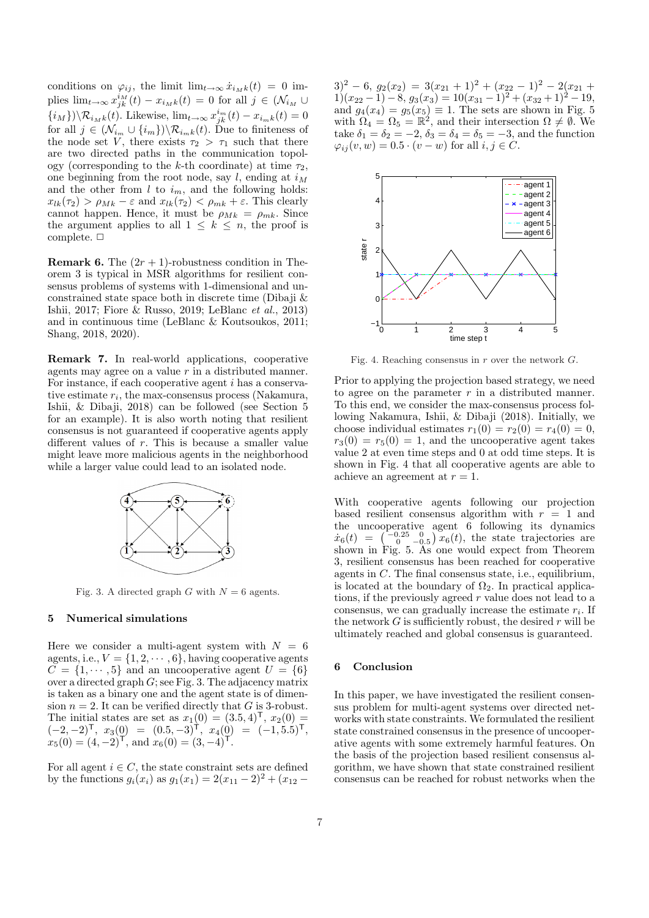conditions on  $\varphi_{ij}$ , the limit  $\lim_{t\to\infty} \dot{x}_{i_Mk}(t) = 0$  implies  $\lim_{t\to\infty} x_{jk}^{i_M}(t) - x_{i_Mk}(t) = 0$  for all  $j \in (\mathcal{N}_{i_M} \cup$  $\{i_M\}$ ) $\setminus \mathcal{R}_{i_Mk}(t)$ . Likewise, lim<sub>*t*→∞</sub>  $x_{jk}^{i_m}(t) - x_{i_mk}(t) = 0$ for all  $j \in (\mathcal{N}_{i_m} \cup \{i_m\}) \backslash \mathcal{R}_{i_m k}(t)$ . Due to finiteness of the node set *V*, there exists  $\tau_2 > \tau_1$  such that there are two directed paths in the communication topology (corresponding to the *k*-th coordinate) at time  $\tau_2$ , one beginning from the root node, say *l*, ending at *i<sup>M</sup>* and the other from  $l$  to  $i_m$ , and the following holds:  $x_{lk}(\tau_2) > \rho_{Mk} - \varepsilon$  and  $x_{lk}(\tau_2) < \rho_{mk} + \varepsilon$ . This clearly cannot happen. Hence, it must be  $\rho_{Mk} = \rho_{mk}$ . Since the argument applies to all  $1 \leq k \leq n$ , the proof is complete.  $\Box$ 

**Remark 6.** The  $(2r + 1)$ -robustness condition in Theorem 3 is typical in MSR algorithms for resilient consensus problems of systems with 1-dimensional and unconstrained state space both in discrete time (Dibaji & Ishii, 2017; Fiore & Russo, 2019; LeBlanc *et al.*, 2013) and in continuous time (LeBlanc & Koutsoukos, 2011; Shang, 2018, 2020).

**Remark 7.** In real-world applications, cooperative agents may agree on a value *r* in a distributed manner. For instance, if each cooperative agent *i* has a conservative estimate *r<sup>i</sup>* , the max-consensus process (Nakamura, Ishii, & Dibaji, 2018) can be followed (see Section 5 for an example). It is also worth noting that resilient consensus is not guaranteed if cooperative agents apply different values of *r*. This is because a smaller value might leave more malicious agents in the neighborhood while a larger value could lead to an isolated node.



Fig. 3. A directed graph *G* with  $N = 6$  agents.

# **5 Numerical simulations**

Here we consider a multi-agent system with  $N = 6$ agents, i.e.,  $V = \{1, 2, \dots, 6\}$ , having cooperative agents  $C = \{1, \dots, 5\}$  and an uncooperative agent  $U = \{6\}$ over a directed graph *G*; see Fig. 3. The adjacency matrix is taken as a binary one and the agent state is of dimension  $n = 2$ . It can be verified directly that *G* is 3-robust. The initial states are set as  $x_1(0) = (3.5, 4)^T$ ,  $x_2(0) =$  $(-2,-2)^{T}$ ,  $x_3(0) = (0.5,-3)^{T}$ ,  $x_4(0) = (-1,5.5)^{T}$ ,  $x_5(0) = (4, -2)^\mathsf{T}$ , and  $x_6(0) = (3, -4)^\mathsf{T}$ .

For all agent  $i \in C$ , the state constraint sets are defined by the functions  $g_i(x_i)$  as  $g_1(x_1) = 2(x_{11} - 2)^2 + (x_{12} - 2)^2$ 



Fig. 4. Reaching consensus in *r* over the network *G*.

Prior to applying the projection based strategy, we need to agree on the parameter *r* in a distributed manner. To this end, we consider the max-consensus process following Nakamura, Ishii, & Dibaji (2018). Initially, we choose individual estimates  $r_1(0) = r_2(0) = r_4(0) = 0$ ,  $r_3(0) = r_5(0) = 1$ , and the uncooperative agent takes value 2 at even time steps and 0 at odd time steps. It is shown in Fig. 4 that all cooperative agents are able to achieve an agreement at *r* = 1.

With cooperative agents following our projection based resilient consensus algorithm with  $r = 1$  and the uncooperative agent 6 following its dynamics  $\dot{x}_6(t) = \begin{pmatrix} -0.25 & 0 \\ 0 & -0.5 \end{pmatrix} \dot{x}_6(t)$ , the state trajectories are shown in Fig. 5. As one would expect from Theorem 3, resilient consensus has been reached for cooperative agents in *C*. The final consensus state, i.e., equilibrium, is located at the boundary of  $\Omega_2$ . In practical applications, if the previously agreed *r* value does not lead to a consensus, we can gradually increase the estimate *r<sup>i</sup>* . If the network  $G$  is sufficiently robust, the desired  $r$  will be ultimately reached and global consensus is guaranteed.

# **6 Conclusion**

In this paper, we have investigated the resilient consensus problem for multi-agent systems over directed networks with state constraints. We formulated the resilient state constrained consensus in the presence of uncooperative agents with some extremely harmful features. On the basis of the projection based resilient consensus algorithm, we have shown that state constrained resilient consensus can be reached for robust networks when the